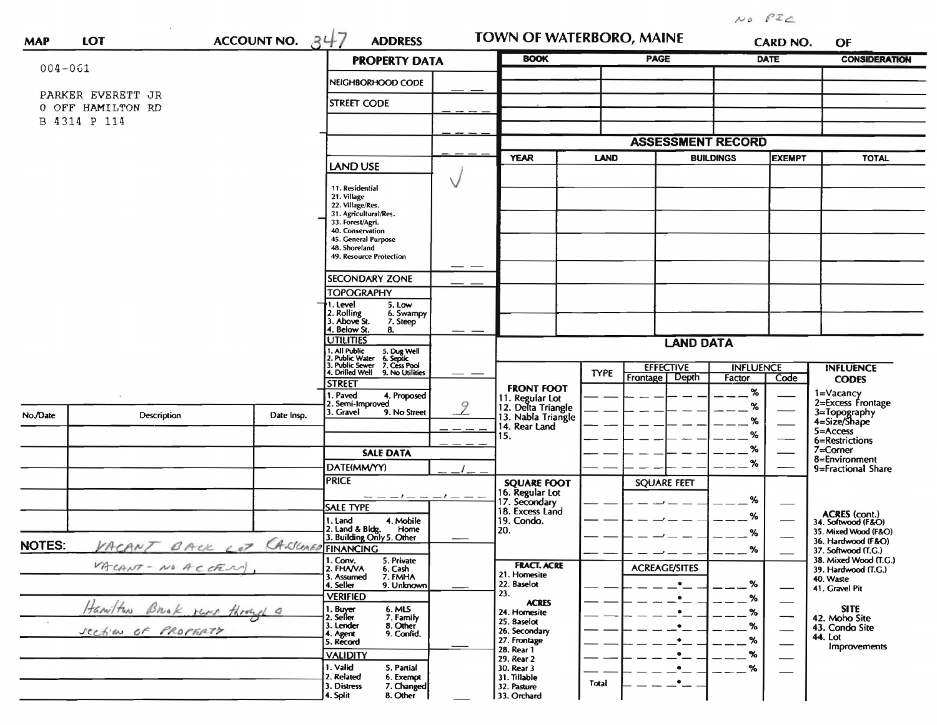$N0$   $P2C$ 

| <b>MAP</b>    | <b>LOT</b>                         | 347<br><b>ACCOUNT NO.</b> | <b>ADDRESS</b>                                                                                                            |                  | TOWN OF WATERBORO, MAINE                            |                  |                          | CARD NO.         |               | OF                                                          |
|---------------|------------------------------------|---------------------------|---------------------------------------------------------------------------------------------------------------------------|------------------|-----------------------------------------------------|------------------|--------------------------|------------------|---------------|-------------------------------------------------------------|
| $004 - 061$   |                                    |                           | <b>PROPERTY DATA</b>                                                                                                      |                  | <b>BOOK</b>                                         |                  | <b>PAGE</b>              |                  | <b>DATE</b>   | <b>CONSIDERATION</b>                                        |
|               |                                    |                           | NEIGHBORHOOD CODE                                                                                                         |                  |                                                     |                  |                          |                  |               |                                                             |
|               | PARKER EVERETT JR                  |                           | <b>STREET CODE</b>                                                                                                        |                  |                                                     |                  |                          |                  |               |                                                             |
|               | 0 OFF HAMILTON RD<br>B 4314 P 114  |                           |                                                                                                                           |                  |                                                     |                  |                          |                  |               |                                                             |
|               |                                    |                           |                                                                                                                           |                  |                                                     |                  |                          |                  |               |                                                             |
|               |                                    |                           |                                                                                                                           |                  |                                                     |                  | <b>ASSESSMENT RECORD</b> |                  |               |                                                             |
|               |                                    |                           | <b>LAND USE</b>                                                                                                           |                  | <b>YEAR</b>                                         | <b>LAND</b>      |                          | <b>BUILDINGS</b> | <b>EXEMPT</b> | <b>TOTAL</b>                                                |
|               |                                    |                           | 11. Residential                                                                                                           |                  |                                                     |                  |                          |                  |               |                                                             |
|               |                                    |                           | 21. Village<br>22. Village/Res.                                                                                           |                  |                                                     |                  |                          |                  |               |                                                             |
|               |                                    |                           | 31. Agricultural/Res.                                                                                                     |                  |                                                     |                  |                          |                  |               |                                                             |
|               |                                    |                           | 33. Forest/Agri.<br>40. Conservation                                                                                      |                  |                                                     |                  |                          |                  |               |                                                             |
|               |                                    |                           | 45. General Purpose<br>48. Shoreland                                                                                      |                  |                                                     |                  |                          |                  |               |                                                             |
|               |                                    |                           | <b>49. Resource Protection</b>                                                                                            |                  |                                                     |                  |                          |                  |               |                                                             |
|               |                                    |                           | <b>SECONDARY ZONE</b>                                                                                                     |                  |                                                     |                  |                          |                  |               |                                                             |
|               |                                    |                           | <b>TOPOGRAPHY</b>                                                                                                         |                  |                                                     |                  |                          |                  |               |                                                             |
|               |                                    |                           | 1. Level<br>5. Low<br>2. Rolling<br>3. Above St.<br>6. Swampy                                                             |                  |                                                     |                  |                          |                  |               |                                                             |
|               |                                    |                           | 7. Steep<br>4. Below St.<br>8.                                                                                            |                  |                                                     |                  |                          |                  |               |                                                             |
|               |                                    |                           | <b>UTILITIES</b><br>. All Public                                                                                          |                  | <b>LAND DATA</b>                                    |                  |                          |                  |               |                                                             |
|               |                                    |                           | 1. All Public 5. Dug Well<br>2. Public Water 6. Septic<br>3. Public Sewer 7. Cess Pool<br>4. Drilled Well 9. No Utilities |                  |                                                     | <b>EFFECTIVE</b> |                          | <b>INFLUENCE</b> |               | <b>INFLUENCE</b>                                            |
|               |                                    |                           | <b>STREET</b>                                                                                                             |                  |                                                     | <b>TYPE</b>      | Depth<br>Frontage        | Factor           | Code          | <b>CODES</b>                                                |
|               |                                    |                           | . Paved<br>4. Proposed                                                                                                    |                  | <b>FRONT FOOT</b><br>11. Regular Lot                |                  |                          | %                |               | 1=Vacancy                                                   |
| No./Date      | Description                        | Date Insp.                | 2. Semi-Improved<br>3. Gravel<br>9. No Street                                                                             | 9                | 12. Delta Triangle<br>13. Nabla Triangle            |                  |                          | $\%$             |               | 2=Excess Frontage<br>3=Topography<br>4=Size/Shape           |
|               |                                    |                           |                                                                                                                           |                  | 14. Rear Land<br>15.                                |                  |                          | %                |               | 5=Access                                                    |
|               |                                    |                           |                                                                                                                           |                  |                                                     |                  |                          | %<br>$\%$        |               | 6=Restrictions<br>7=Corner                                  |
|               |                                    |                           | <b>SALE DATA</b>                                                                                                          |                  |                                                     |                  | <b>SQUARE FEET</b>       | %                |               | 8=Environment                                               |
|               |                                    |                           | DATE(MM/YY)<br><b>PRICE</b>                                                                                               |                  |                                                     |                  |                          |                  |               | 9=Fractional Share                                          |
|               |                                    |                           |                                                                                                                           | $-1$ $  -1$ $ -$ | <b>SQUARE FOOT</b>                                  |                  |                          |                  |               |                                                             |
|               |                                    |                           | <b>SALE TYPE</b>                                                                                                          |                  | 16. Regular Lot<br>17. Secondary<br>18. Excess Land |                  |                          | %                |               |                                                             |
|               |                                    |                           | 4. Mobile<br>1. Land<br>Home                                                                                              |                  | 19. Condo.<br>20.                                   |                  |                          | %                |               | ACRES (cont.)<br>34. Softwood (F&O)<br>35. Mixed Wood (F&O) |
| <b>NOTES:</b> | VACANT BACK LOT CASCERED FINANCING |                           | 2. Land & Bldg. Home<br>3. Building Only 5. Other                                                                         |                  |                                                     |                  |                          | ℅                |               | 36. Hardwood (F&O)                                          |
|               |                                    |                           | 1. Conv.<br>5. Private                                                                                                    |                  | <b>FRACT. ACRE</b>                                  |                  |                          | %                |               | 37. Softwood (T.G.)<br>38. Mixed Wood (T.G.)                |
|               | VACANT-NO ACCENT                   |                           | 2. FHAVA<br>6. Cash<br>7. FMHA<br>3. Assumed                                                                              |                  | 21. Homesite                                        |                  | <b>ACREAGE/SITES</b>     |                  |               | 39. Hardwood (T.G.)<br>40. Waste                            |
|               |                                    |                           | 4. Seller<br>9. Unknown<br><b>VERIFIED</b>                                                                                |                  | 22. Baselot<br>23.                                  |                  | $\bullet$                | $\%$             |               | 41. Gravel Pit                                              |
|               | Hamilton Brick river through a     |                           | 1. Buyer<br>2. Seller<br>6. MLS<br>7. Family                                                                              |                  | <b>ACRES</b><br>24. Homesite                        |                  |                          | %<br>%           |               | <b>SITE</b>                                                 |
|               |                                    |                           | 3. Lender<br>8. Other                                                                                                     |                  | 25. Baselot                                         |                  |                          | %                |               | 42. Moho Site<br>43. Condo Site                             |
|               | section of PROPERTY                |                           | 9. Confid.<br>4. Agent<br>5. Record                                                                                       |                  | 26. Secondary<br>27. Frontage                       |                  |                          | %                |               | 44. Lot                                                     |
|               |                                    |                           | <b>VALIDITY</b>                                                                                                           |                  | 28. Rear 1<br>29. Rear 2                            |                  |                          | %                |               | Improvements                                                |
|               |                                    |                           | 1. Valid<br>5. Partial<br>2. Related<br>6. Exempt                                                                         |                  | 30. Rear 3<br>31. Tillable                          |                  |                          | %                |               |                                                             |
|               |                                    |                           | 7. Changed<br>3. Distress                                                                                                 |                  | 32. Pasture                                         | Total            |                          |                  |               |                                                             |